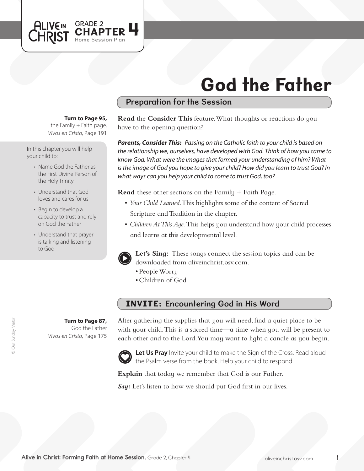

# God the Father

# Preparation for the Session

#### **Turn to Page 95,**

*Vivos en Cristo,* Page 191 the Family  $+$  Faith page.

In this chapter you will help your child to:

- Name God the Father as the First Divine Person of the Holy Trinity
- Understand that God loves and cares for us
- Begin to develop a capacity to trust and rely on God the Father
- Understand that prayer is talking and listening to God

**Turn to Page 87,** God the Father *Vivos en Cristo,* Page 175 **Read** the **Consider This** feature. What thoughts or reactions do you have to the opening question?

*Parents, Consider This: Passing on the Catholic faith to your child is based on the relationship we, ourselves, have developed with God. Think of how you came to know God. What were the images that formed your understanding of him? What is the image of God you hope to give your child? How did you learn to trust God? In what ways can you help your child to come to trust God, too?*

**Read** these other sections on the Family + Faith Page.

- • *Your Child Learned*. This highlights some of the content of Sacred Scripture and Tradition in the chapter.
- *Children At This Aqe*. This helps you understand how your child processes and learns at this developmental level.



**Let's Sing:** These songs connect the session topics and can be downloaded from aliveinchrist.osv.com.

- People Worry
- • Children of God

# INVITE: Encountering God in His Word

After gathering the supplies that you will need, find a quiet place to be with your child. This is a sacred time—a time when you will be present to each other and to the Lord. You may want to light a candle as you begin.



Let Us Pray Invite your child to make the Sign of the Cross. Read aloud the Psalm verse from the book. Help your child to respond.

**Explain** that today we remember that God is our Father.

*Say:* Let's listen to how we should put God first in our lives.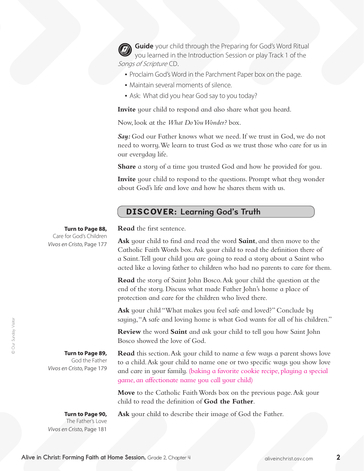**Guide** your child through the Preparing for God's Word Ritual you learned in the Introduction Session or play Track 1 of the Songs of Scripture CD.

- Proclaim God's Word in the Parchment Paper box on the page.
- Maintain several moments of silence.
- Ask: What did you hear God say to you today?

**Invite** your child to respond and also share what you heard.

Now, look at the *What Do You Wonder?* box.

*Say:* God our Father knows what we need. If we trust in God, we do not need to worry.We learn to trust God as we trust those who care for us in our everyday life.

**Share** a story of a time you trusted God and how he provided for you.

**Invite** your child to respond to the questions. Prompt what they wonder about God's life and love and how he shares them with us.

## DISCOVER: Learning God's Truth

**Turn to Page 88,**

Care for God's Children *Vivos en Cristo,* Page 177 **Read** the first sentence.

**Ask** your child to find and read the word **Saint**, and then move to the Catholic Faith Words box. Ask your child to read the definition there of a Saint. Tell your child you are going to read a story about a Saint who acted like a loving father to children who had no parents to care for them.

**Read** the story of Saint John Bosco. Ask your child the question at the end of the story. Discuss what made Father John's home a place of protection and care for the children who lived there.

**Ask** your child "What makes you feel safe and loved?" Conclude by saying,"A safe and loving home is what God wants for all of his children."

**Review** the word **Saint** and ask your child to tell you how Saint John Bosco showed the love of God.

**Turn to Page 89,**  God the Father *Vivos en Cristo,* Page 179

**Read** this section. Ask your child to name a few ways a parent shows love to a child. Ask your child to name one or two specific ways you show love and care in your family. (baking a favorite cookie recipe, playing a special game, an affectionate name you call your child)

**Move** to the Catholic Faith Words box on the previous page. Ask your child to read the definition of **God the Father**.

**Turn to Page 90,**  The Father's Love *Vivos en Cristo,* Page 181

**Ask** your child to describe their image of God the Father.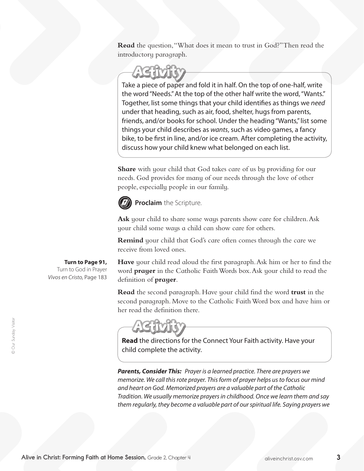**Read** the question,"What does it mean to trust in God?"Then read the introductory paragraph.

Take a piece of paper and fold it in half. On the top of one-half, write the word "Needs." At the top of the other half write the word, "Wants." Together, list some things that your child identifies as things we *need* under that heading, such as air, food, shelter, hugs from parents, friends, and/or books for school. Under the heading "Wants," list some things your child describes as *wants*, such as video games, a fancy bike, to be first in line, and/or ice cream. After completing the activity, discuss how your child knew what belonged on each list.

**Share** with your child that God takes care of us by providing for our needs. God provides for many of our needs through the love of other people, especially people in our family.



**Proclaim** the Scripture.

**Ask** your child to share some ways parents show care for children. Ask your child some ways a child can show care for others.

**Remind** your child that God's care often comes through the care we receive from loved ones.

**Turn to Page 91,**

Turn to God in Prayer *Vivos en Cristo,* Page 183

**Have** your child read aloud the first paragraph. Ask him or her to find the word **prayer** in the Catholic FaithWords box.Ask your child to read the definition of **prayer**.

**Read** the second paragraph. Have your child find the word **trust** in the second paragraph. Move to the Catholic Faith Word box and have him or her read the definition there.

**Read** the directions for the Connect Your Faith activity. Have your child complete the activity.

*Parents, Consider This: Prayer is a learned practice. There are prayers we memorize. We call this rote prayer. This form of prayer helps us to focus our mind and heart on God. Memorized prayers are a valuable part of the Catholic Tradition. We usually memorize prayers in childhood. Once we learn them and say them regularly, they become a valuable part of our spiritual life. Saying prayers we*